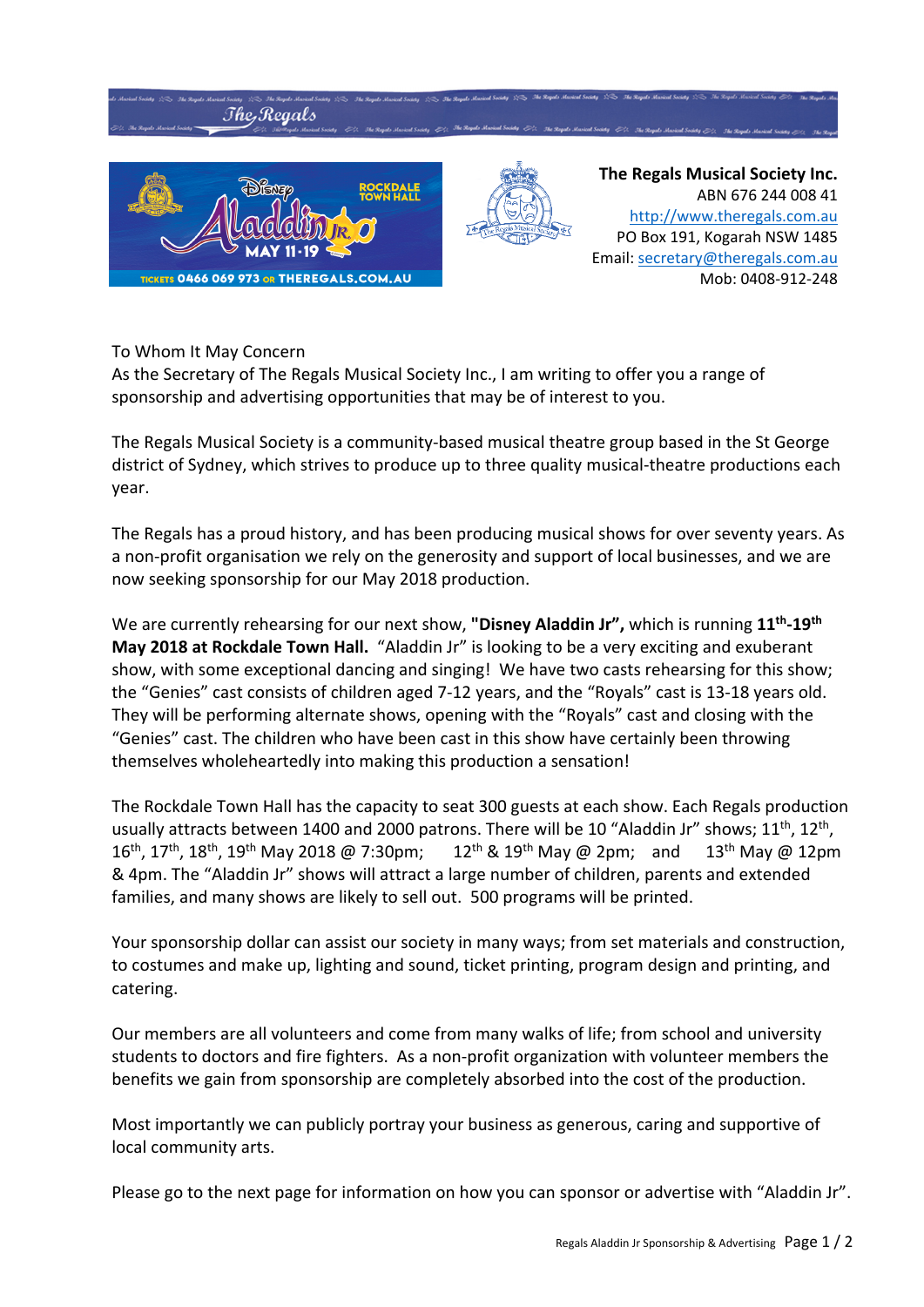

## To Whom It May Concern

As the Secretary of The Regals Musical Society Inc., I am writing to offer you a range of sponsorship and advertising opportunities that may be of interest to you.

The Regals Musical Society is a community‐based musical theatre group based in the St George district of Sydney, which strives to produce up to three quality musical-theatre productions each year.

The Regals has a proud history, and has been producing musical shows for over seventy years. As a non‐profit organisation we rely on the generosity and support of local businesses, and we are now seeking sponsorship for our May 2018 production.

We are currently rehearsing for our next show, **"Disney Aladdin Jr",** which is running **11th‐19th May 2018 at Rockdale Town Hall.** "Aladdin Jr" is looking to be a very exciting and exuberant show, with some exceptional dancing and singing! We have two casts rehearsing for this show; the "Genies" cast consists of children aged 7‐12 years, and the "Royals" cast is 13‐18 years old. They will be performing alternate shows, opening with the "Royals" cast and closing with the "Genies" cast. The children who have been cast in this show have certainly been throwing themselves wholeheartedly into making this production a sensation!

The Rockdale Town Hall has the capacity to seat 300 guests at each show. Each Regals production usually attracts between 1400 and 2000 patrons. There will be 10 "Aladdin Jr" shows; 11<sup>th</sup>, 12<sup>th</sup>, 16th, 17th, 18th, 19th May 2018 @ 7:30pm; 12th & 19th May @ 2pm; and 13th May @ 12pm & 4pm. The "Aladdin Jr" shows will attract a large number of children, parents and extended families, and many shows are likely to sell out. 500 programs will be printed.

Your sponsorship dollar can assist our society in many ways; from set materials and construction, to costumes and make up, lighting and sound, ticket printing, program design and printing, and catering.

Our members are all volunteers and come from many walks of life; from school and university students to doctors and fire fighters. As a non‐profit organization with volunteer members the benefits we gain from sponsorship are completely absorbed into the cost of the production.

Most importantly we can publicly portray your business as generous, caring and supportive of local community arts.

Please go to the next page for information on how you can sponsor or advertise with "Aladdin Jr".